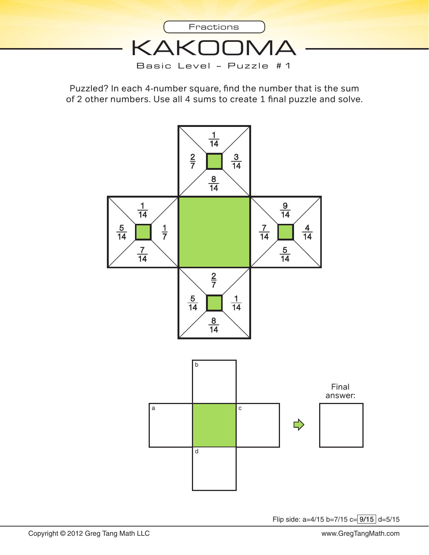

Puzzled? In each 4-number square, fnd the number that is the sum of 2 other numbers. Use all 4 sums to create 1 fnal puzzle and solve.



Flip side: a=4/15 b=7/15 c= 9/15 d=5/15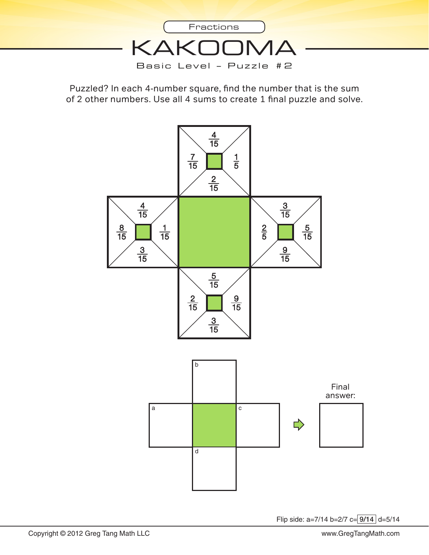

Puzzled? In each 4-number square, fnd the number that is the sum of 2 other numbers. Use all 4 sums to create 1 fnal puzzle and solve.



Flip side:  $a=7/14$  b= $2/7$  c= $9/14$  d= $5/14$